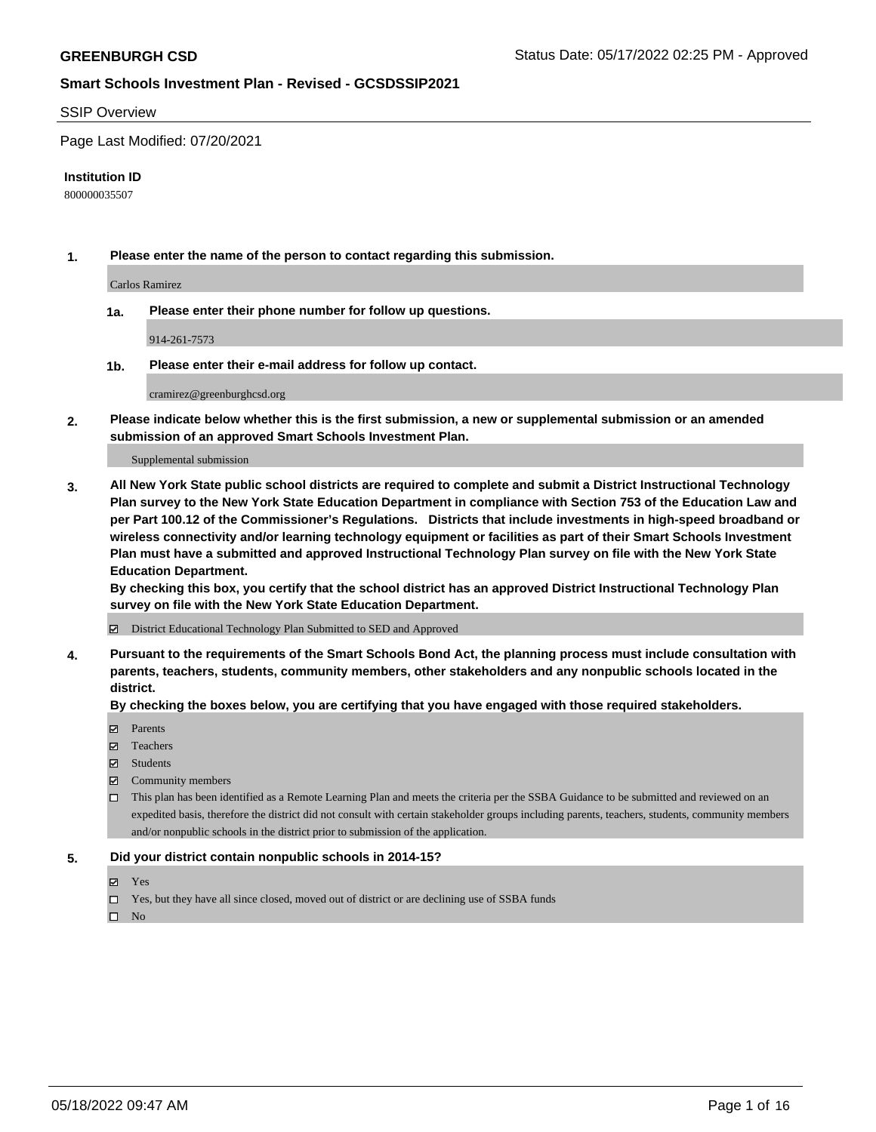#### SSIP Overview

Page Last Modified: 07/20/2021

#### **Institution ID**

800000035507

**1. Please enter the name of the person to contact regarding this submission.**

Carlos Ramirez

**1a. Please enter their phone number for follow up questions.**

914-261-7573

**1b. Please enter their e-mail address for follow up contact.**

cramirez@greenburghcsd.org

**2. Please indicate below whether this is the first submission, a new or supplemental submission or an amended submission of an approved Smart Schools Investment Plan.**

Supplemental submission

**3. All New York State public school districts are required to complete and submit a District Instructional Technology Plan survey to the New York State Education Department in compliance with Section 753 of the Education Law and per Part 100.12 of the Commissioner's Regulations. Districts that include investments in high-speed broadband or wireless connectivity and/or learning technology equipment or facilities as part of their Smart Schools Investment Plan must have a submitted and approved Instructional Technology Plan survey on file with the New York State Education Department.** 

**By checking this box, you certify that the school district has an approved District Instructional Technology Plan survey on file with the New York State Education Department.**

District Educational Technology Plan Submitted to SED and Approved

**4. Pursuant to the requirements of the Smart Schools Bond Act, the planning process must include consultation with parents, teachers, students, community members, other stakeholders and any nonpublic schools located in the district.** 

**By checking the boxes below, you are certifying that you have engaged with those required stakeholders.**

- **□** Parents
- Teachers
- Students
- $\Xi$  Community members
- This plan has been identified as a Remote Learning Plan and meets the criteria per the SSBA Guidance to be submitted and reviewed on an expedited basis, therefore the district did not consult with certain stakeholder groups including parents, teachers, students, community members and/or nonpublic schools in the district prior to submission of the application.

#### **5. Did your district contain nonpublic schools in 2014-15?**

- Yes
- $\Box$  Yes, but they have all since closed, moved out of district or are declining use of SSBA funds

 $\square$  No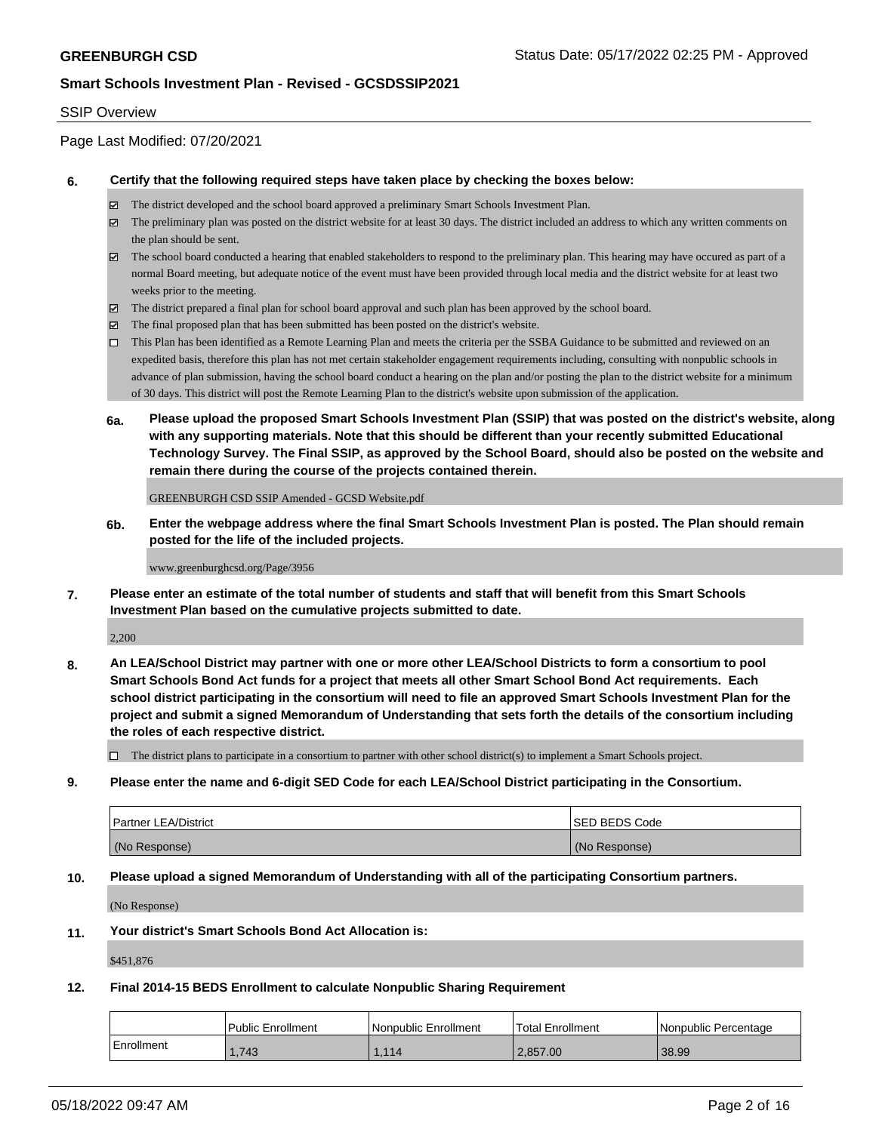#### SSIP Overview

Page Last Modified: 07/20/2021

#### **6. Certify that the following required steps have taken place by checking the boxes below:**

- The district developed and the school board approved a preliminary Smart Schools Investment Plan.
- $\boxtimes$  The preliminary plan was posted on the district website for at least 30 days. The district included an address to which any written comments on the plan should be sent.
- $\boxtimes$  The school board conducted a hearing that enabled stakeholders to respond to the preliminary plan. This hearing may have occured as part of a normal Board meeting, but adequate notice of the event must have been provided through local media and the district website for at least two weeks prior to the meeting.
- The district prepared a final plan for school board approval and such plan has been approved by the school board.
- $\boxtimes$  The final proposed plan that has been submitted has been posted on the district's website.
- This Plan has been identified as a Remote Learning Plan and meets the criteria per the SSBA Guidance to be submitted and reviewed on an expedited basis, therefore this plan has not met certain stakeholder engagement requirements including, consulting with nonpublic schools in advance of plan submission, having the school board conduct a hearing on the plan and/or posting the plan to the district website for a minimum of 30 days. This district will post the Remote Learning Plan to the district's website upon submission of the application.
- **6a. Please upload the proposed Smart Schools Investment Plan (SSIP) that was posted on the district's website, along with any supporting materials. Note that this should be different than your recently submitted Educational Technology Survey. The Final SSIP, as approved by the School Board, should also be posted on the website and remain there during the course of the projects contained therein.**

GREENBURGH CSD SSIP Amended - GCSD Website.pdf

**6b. Enter the webpage address where the final Smart Schools Investment Plan is posted. The Plan should remain posted for the life of the included projects.**

www.greenburghcsd.org/Page/3956

**7. Please enter an estimate of the total number of students and staff that will benefit from this Smart Schools Investment Plan based on the cumulative projects submitted to date.**

2,200

**8. An LEA/School District may partner with one or more other LEA/School Districts to form a consortium to pool Smart Schools Bond Act funds for a project that meets all other Smart School Bond Act requirements. Each school district participating in the consortium will need to file an approved Smart Schools Investment Plan for the project and submit a signed Memorandum of Understanding that sets forth the details of the consortium including the roles of each respective district.**

 $\Box$  The district plans to participate in a consortium to partner with other school district(s) to implement a Smart Schools project.

**9. Please enter the name and 6-digit SED Code for each LEA/School District participating in the Consortium.**

| <b>Partner LEA/District</b> | <b>ISED BEDS Code</b> |
|-----------------------------|-----------------------|
| (No Response)               | (No Response)         |

#### **10. Please upload a signed Memorandum of Understanding with all of the participating Consortium partners.**

(No Response)

#### **11. Your district's Smart Schools Bond Act Allocation is:**

\$451,876

#### **12. Final 2014-15 BEDS Enrollment to calculate Nonpublic Sharing Requirement**

|            | Public Enrollment | Nonpublic Enrollment | <sup>1</sup> Total Enrollment | l Nonpublic Percentage |
|------------|-------------------|----------------------|-------------------------------|------------------------|
| Enrollment | 1.743             | .114                 | 2,857.00                      | 38.99                  |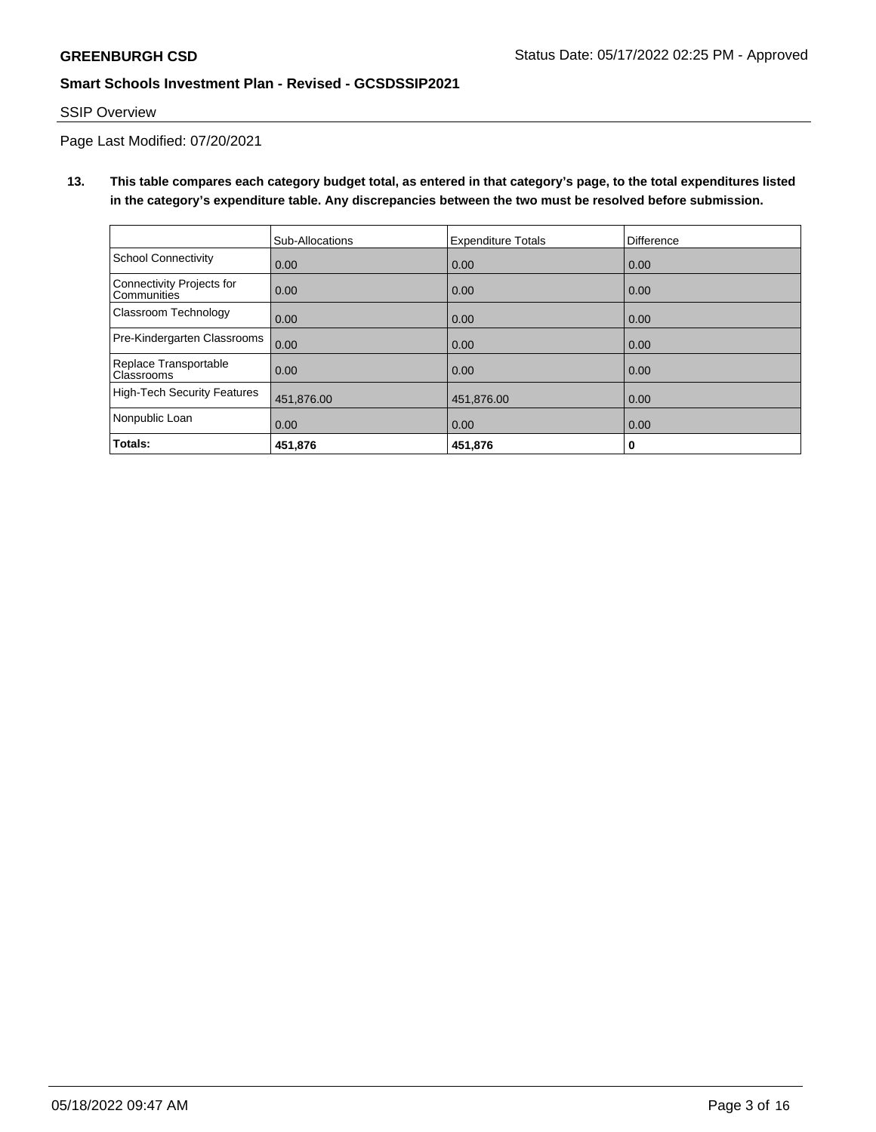## SSIP Overview

Page Last Modified: 07/20/2021

# **13. This table compares each category budget total, as entered in that category's page, to the total expenditures listed in the category's expenditure table. Any discrepancies between the two must be resolved before submission.**

|                                                 | Sub-Allocations | <b>Expenditure Totals</b> | Difference |
|-------------------------------------------------|-----------------|---------------------------|------------|
| School Connectivity                             | 0.00            | 0.00                      | 0.00       |
| Connectivity Projects for<br><b>Communities</b> | 0.00            | 0.00                      | 0.00       |
| <b>Classroom Technology</b>                     | 0.00            | 0.00                      | 0.00       |
| Pre-Kindergarten Classrooms                     | 0.00            | 0.00                      | 0.00       |
| Replace Transportable<br>Classrooms             | 0.00            | 0.00                      | 0.00       |
| High-Tech Security Features                     | 451,876.00      | 451,876.00                | 0.00       |
| Nonpublic Loan                                  | 0.00            | 0.00                      | 0.00       |
| Totals:                                         | 451,876         | 451,876                   | 0          |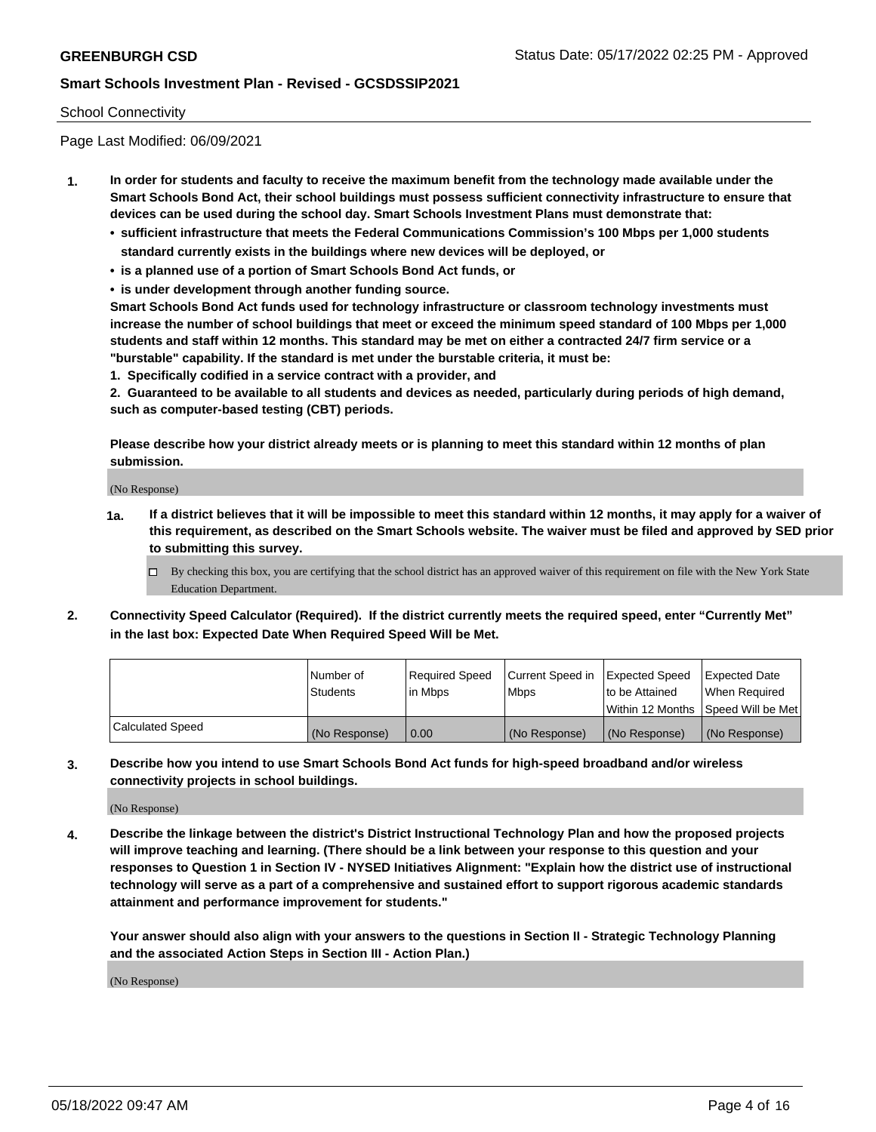### School Connectivity

Page Last Modified: 06/09/2021

- **1. In order for students and faculty to receive the maximum benefit from the technology made available under the Smart Schools Bond Act, their school buildings must possess sufficient connectivity infrastructure to ensure that devices can be used during the school day. Smart Schools Investment Plans must demonstrate that:**
	- **• sufficient infrastructure that meets the Federal Communications Commission's 100 Mbps per 1,000 students standard currently exists in the buildings where new devices will be deployed, or**
	- **• is a planned use of a portion of Smart Schools Bond Act funds, or**
	- **• is under development through another funding source.**

**Smart Schools Bond Act funds used for technology infrastructure or classroom technology investments must increase the number of school buildings that meet or exceed the minimum speed standard of 100 Mbps per 1,000 students and staff within 12 months. This standard may be met on either a contracted 24/7 firm service or a "burstable" capability. If the standard is met under the burstable criteria, it must be:**

**1. Specifically codified in a service contract with a provider, and**

**2. Guaranteed to be available to all students and devices as needed, particularly during periods of high demand, such as computer-based testing (CBT) periods.**

**Please describe how your district already meets or is planning to meet this standard within 12 months of plan submission.**

(No Response)

- **1a. If a district believes that it will be impossible to meet this standard within 12 months, it may apply for a waiver of this requirement, as described on the Smart Schools website. The waiver must be filed and approved by SED prior to submitting this survey.**
	- By checking this box, you are certifying that the school district has an approved waiver of this requirement on file with the New York State Education Department.
- **2. Connectivity Speed Calculator (Required). If the district currently meets the required speed, enter "Currently Met" in the last box: Expected Date When Required Speed Will be Met.**

|                  | l Number of     | Required Speed | Current Speed in Expected Speed |                                    | Expected Date |
|------------------|-----------------|----------------|---------------------------------|------------------------------------|---------------|
|                  | <b>Students</b> | l in Mbps      | <b>Mbps</b>                     | to be Attained                     | When Reauired |
|                  |                 |                |                                 | Within 12 Months Speed Will be Met |               |
| Calculated Speed | (No Response)   | 0.00           | (No Response)                   | (No Response)                      | (No Response) |

**3. Describe how you intend to use Smart Schools Bond Act funds for high-speed broadband and/or wireless connectivity projects in school buildings.**

(No Response)

**4. Describe the linkage between the district's District Instructional Technology Plan and how the proposed projects will improve teaching and learning. (There should be a link between your response to this question and your responses to Question 1 in Section IV - NYSED Initiatives Alignment: "Explain how the district use of instructional technology will serve as a part of a comprehensive and sustained effort to support rigorous academic standards attainment and performance improvement for students."** 

**Your answer should also align with your answers to the questions in Section II - Strategic Technology Planning and the associated Action Steps in Section III - Action Plan.)**

(No Response)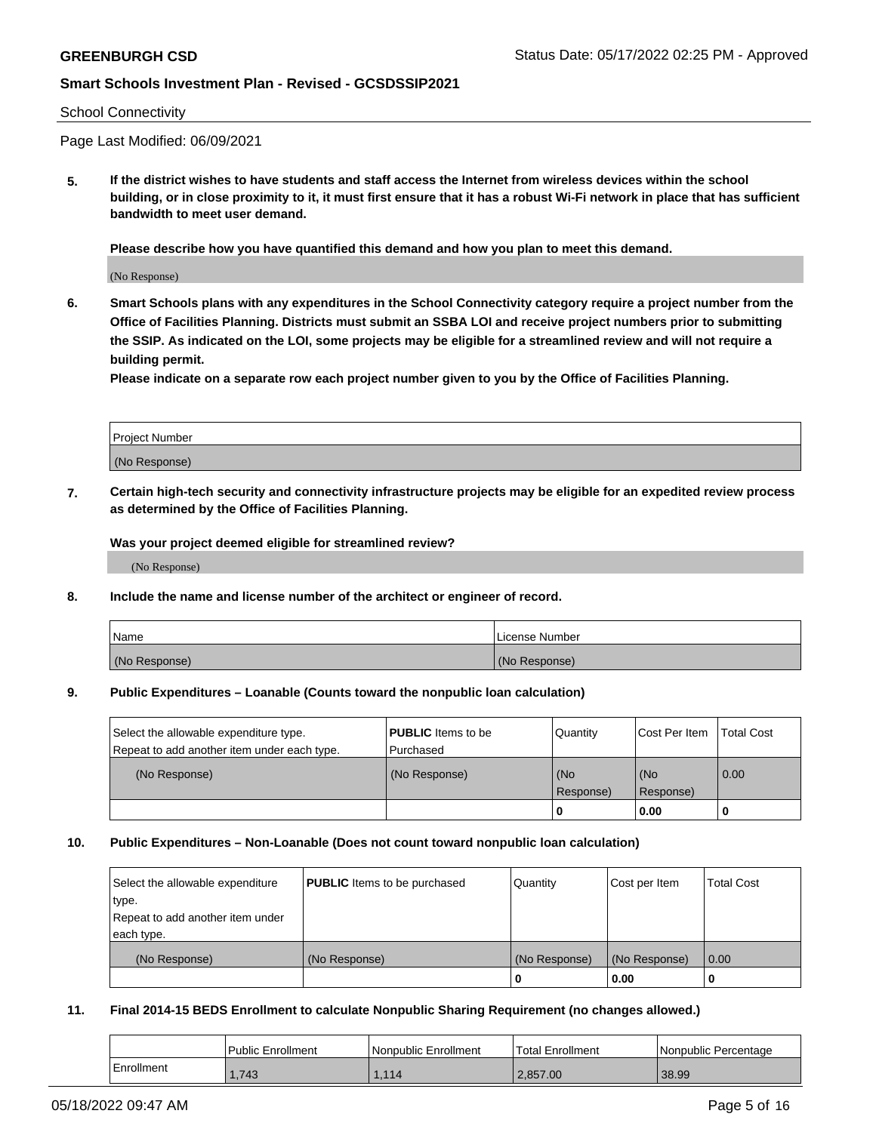#### School Connectivity

Page Last Modified: 06/09/2021

**5. If the district wishes to have students and staff access the Internet from wireless devices within the school building, or in close proximity to it, it must first ensure that it has a robust Wi-Fi network in place that has sufficient bandwidth to meet user demand.**

**Please describe how you have quantified this demand and how you plan to meet this demand.**

(No Response)

**6. Smart Schools plans with any expenditures in the School Connectivity category require a project number from the Office of Facilities Planning. Districts must submit an SSBA LOI and receive project numbers prior to submitting the SSIP. As indicated on the LOI, some projects may be eligible for a streamlined review and will not require a building permit.**

**Please indicate on a separate row each project number given to you by the Office of Facilities Planning.**

| <b>Project Number</b> |  |
|-----------------------|--|
| (No Response)         |  |

**7. Certain high-tech security and connectivity infrastructure projects may be eligible for an expedited review process as determined by the Office of Facilities Planning.**

**Was your project deemed eligible for streamlined review?**

(No Response)

#### **8. Include the name and license number of the architect or engineer of record.**

| Name          | I License Number |
|---------------|------------------|
| (No Response) | (No Response)    |

#### **9. Public Expenditures – Loanable (Counts toward the nonpublic loan calculation)**

| Select the allowable expenditure type.<br>Repeat to add another item under each type. | <b>PUBLIC</b> Items to be<br>l Purchased | Quantity         | Cost Per Item    | <b>Total Cost</b> |
|---------------------------------------------------------------------------------------|------------------------------------------|------------------|------------------|-------------------|
| (No Response)                                                                         | (No Response)                            | (No<br>Response) | (No<br>Response) | $\overline{0.00}$ |
|                                                                                       |                                          | -0               | 0.00             |                   |

### **10. Public Expenditures – Non-Loanable (Does not count toward nonpublic loan calculation)**

| Select the allowable expenditure | <b>PUBLIC</b> Items to be purchased | Quantity      | Cost per Item | <b>Total Cost</b> |
|----------------------------------|-------------------------------------|---------------|---------------|-------------------|
| type.                            |                                     |               |               |                   |
| Repeat to add another item under |                                     |               |               |                   |
| each type.                       |                                     |               |               |                   |
| (No Response)                    | (No Response)                       | (No Response) | (No Response) | 0.00              |
|                                  |                                     | U             | 0.00          |                   |

### **11. Final 2014-15 BEDS Enrollment to calculate Nonpublic Sharing Requirement (no changes allowed.)**

|            | <b>Public Enrollment</b> | Nonpublic Enrollment | <sup>1</sup> Total Enrollment | l Nonpublic Percentage |
|------------|--------------------------|----------------------|-------------------------------|------------------------|
| Enrollment | 1.743                    | 1.114                | 2.857.00                      | 38.99                  |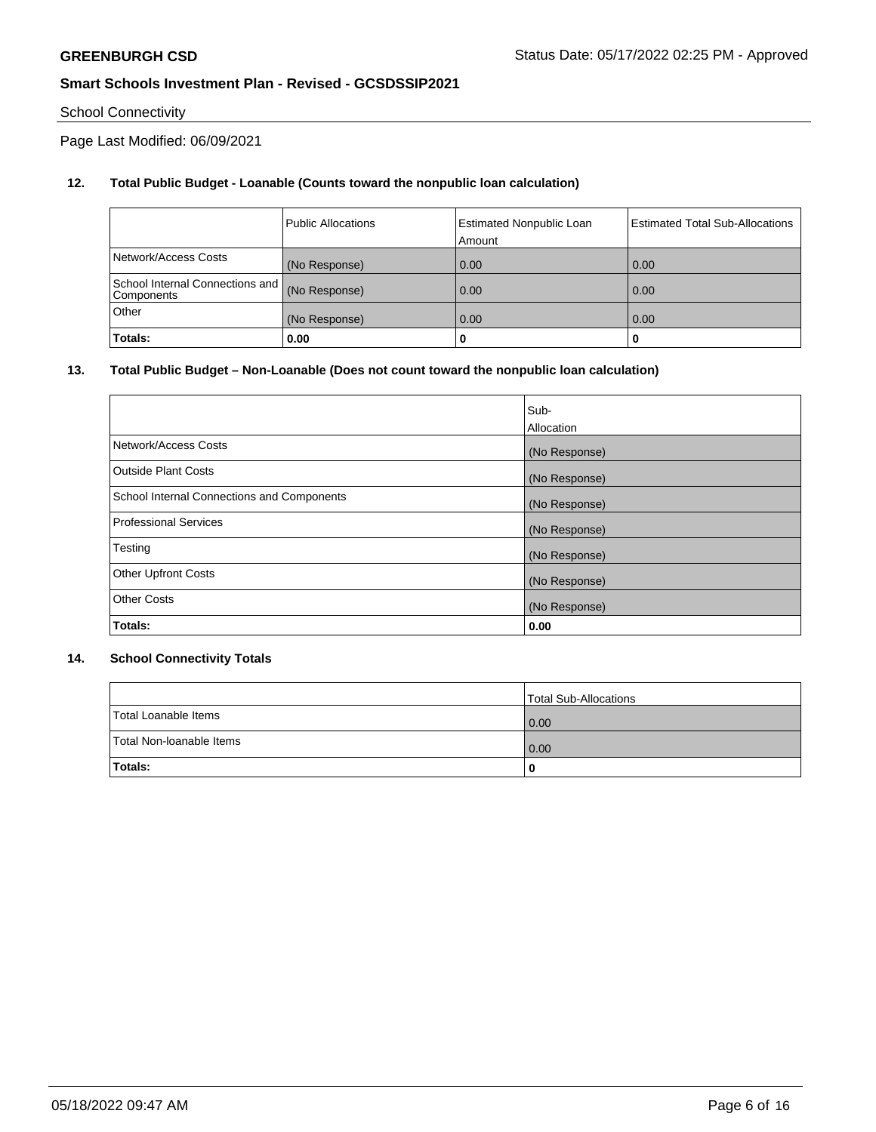# School Connectivity

Page Last Modified: 06/09/2021

# **12. Total Public Budget - Loanable (Counts toward the nonpublic loan calculation)**

|                                                 | <b>Public Allocations</b> | <b>Estimated Nonpublic Loan</b><br>Amount | <b>Estimated Total Sub-Allocations</b> |
|-------------------------------------------------|---------------------------|-------------------------------------------|----------------------------------------|
| Network/Access Costs                            | (No Response)             | 0.00                                      | 0.00                                   |
| School Internal Connections and  <br>Components | (No Response)             | 0.00                                      | 0.00                                   |
| Other                                           | (No Response)             | 0.00                                      | 0.00                                   |
| Totals:                                         | 0.00                      |                                           | 0                                      |

## **13. Total Public Budget – Non-Loanable (Does not count toward the nonpublic loan calculation)**

|                                            | Sub-          |
|--------------------------------------------|---------------|
|                                            | Allocation    |
| Network/Access Costs                       | (No Response) |
| <b>Outside Plant Costs</b>                 | (No Response) |
| School Internal Connections and Components | (No Response) |
| Professional Services                      | (No Response) |
| Testing                                    | (No Response) |
| <b>Other Upfront Costs</b>                 | (No Response) |
| <b>Other Costs</b>                         | (No Response) |
| Totals:                                    | 0.00          |

## **14. School Connectivity Totals**

|                          | Total Sub-Allocations |
|--------------------------|-----------------------|
| Total Loanable Items     | 0.00                  |
| Total Non-Ioanable Items | 0.00                  |
| Totals:                  | 0                     |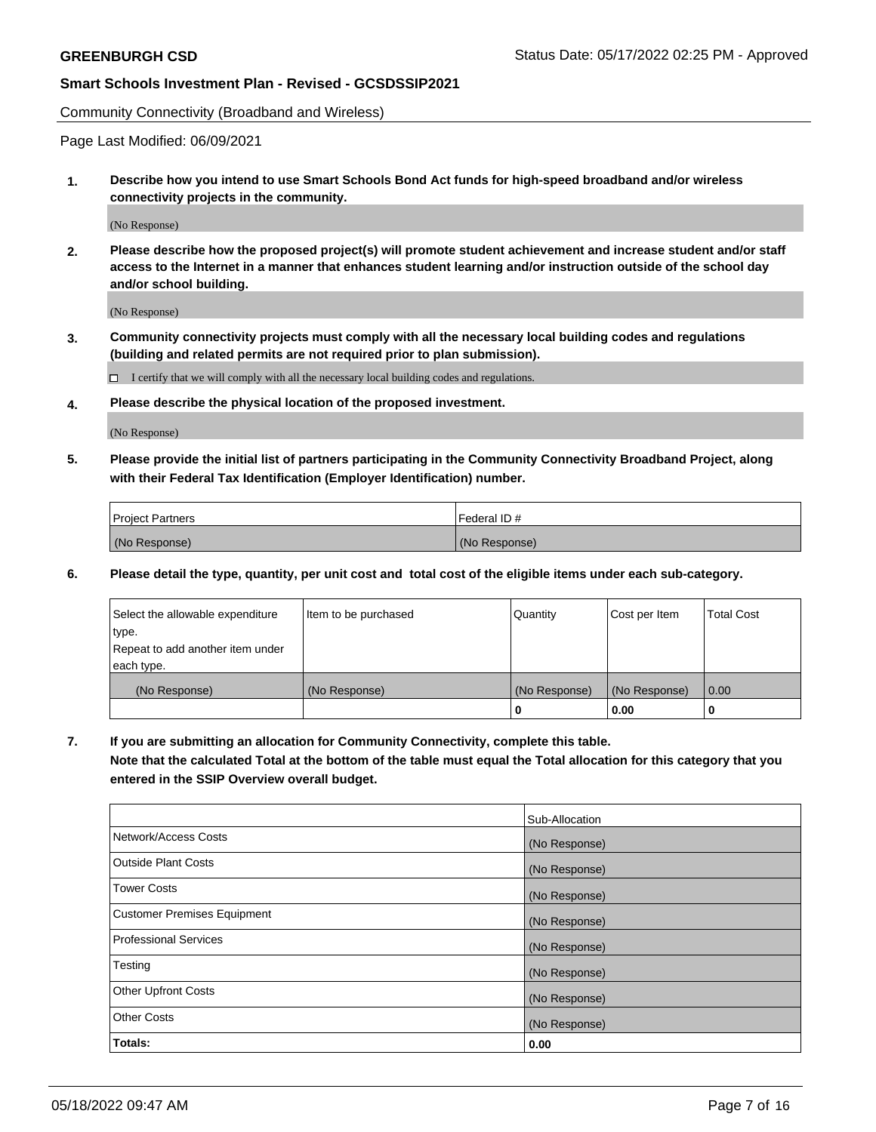Community Connectivity (Broadband and Wireless)

Page Last Modified: 06/09/2021

**1. Describe how you intend to use Smart Schools Bond Act funds for high-speed broadband and/or wireless connectivity projects in the community.**

(No Response)

**2. Please describe how the proposed project(s) will promote student achievement and increase student and/or staff access to the Internet in a manner that enhances student learning and/or instruction outside of the school day and/or school building.**

(No Response)

**3. Community connectivity projects must comply with all the necessary local building codes and regulations (building and related permits are not required prior to plan submission).**

 $\Box$  I certify that we will comply with all the necessary local building codes and regulations.

**4. Please describe the physical location of the proposed investment.**

(No Response)

**5. Please provide the initial list of partners participating in the Community Connectivity Broadband Project, along with their Federal Tax Identification (Employer Identification) number.**

| <b>Project Partners</b> | Federal ID#   |
|-------------------------|---------------|
| (No Response)           | (No Response) |

**6. Please detail the type, quantity, per unit cost and total cost of the eligible items under each sub-category.**

| Select the allowable expenditure | Item to be purchased | Quantity      | Cost per Item | <b>Total Cost</b> |
|----------------------------------|----------------------|---------------|---------------|-------------------|
| type.                            |                      |               |               |                   |
| Repeat to add another item under |                      |               |               |                   |
| each type.                       |                      |               |               |                   |
| (No Response)                    | (No Response)        | (No Response) | (No Response) | 0.00              |
|                                  |                      | 0             | 0.00          |                   |

**7. If you are submitting an allocation for Community Connectivity, complete this table.**

**Note that the calculated Total at the bottom of the table must equal the Total allocation for this category that you entered in the SSIP Overview overall budget.**

|                                    | Sub-Allocation |
|------------------------------------|----------------|
| Network/Access Costs               | (No Response)  |
| Outside Plant Costs                | (No Response)  |
| <b>Tower Costs</b>                 | (No Response)  |
| <b>Customer Premises Equipment</b> | (No Response)  |
| Professional Services              | (No Response)  |
| Testing                            | (No Response)  |
| <b>Other Upfront Costs</b>         | (No Response)  |
| <b>Other Costs</b>                 | (No Response)  |
| Totals:                            | 0.00           |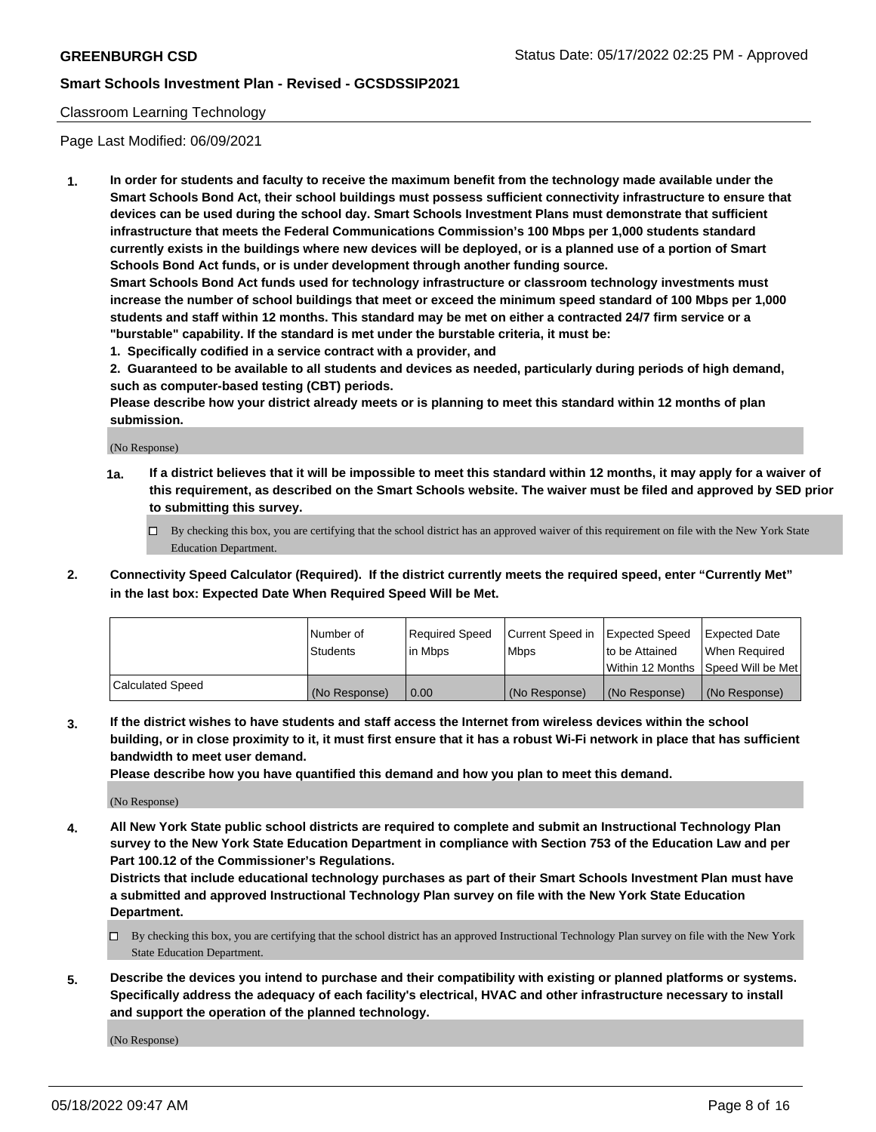### Classroom Learning Technology

Page Last Modified: 06/09/2021

**1. In order for students and faculty to receive the maximum benefit from the technology made available under the Smart Schools Bond Act, their school buildings must possess sufficient connectivity infrastructure to ensure that devices can be used during the school day. Smart Schools Investment Plans must demonstrate that sufficient infrastructure that meets the Federal Communications Commission's 100 Mbps per 1,000 students standard currently exists in the buildings where new devices will be deployed, or is a planned use of a portion of Smart Schools Bond Act funds, or is under development through another funding source.**

**Smart Schools Bond Act funds used for technology infrastructure or classroom technology investments must increase the number of school buildings that meet or exceed the minimum speed standard of 100 Mbps per 1,000 students and staff within 12 months. This standard may be met on either a contracted 24/7 firm service or a "burstable" capability. If the standard is met under the burstable criteria, it must be:**

**1. Specifically codified in a service contract with a provider, and**

**2. Guaranteed to be available to all students and devices as needed, particularly during periods of high demand, such as computer-based testing (CBT) periods.**

**Please describe how your district already meets or is planning to meet this standard within 12 months of plan submission.**

(No Response)

- **1a. If a district believes that it will be impossible to meet this standard within 12 months, it may apply for a waiver of this requirement, as described on the Smart Schools website. The waiver must be filed and approved by SED prior to submitting this survey.**
	- By checking this box, you are certifying that the school district has an approved waiver of this requirement on file with the New York State Education Department.
- **2. Connectivity Speed Calculator (Required). If the district currently meets the required speed, enter "Currently Met" in the last box: Expected Date When Required Speed Will be Met.**

|                  | Number of     | Required Speed | Current Speed in | Expected Speed | Expected Date                           |
|------------------|---------------|----------------|------------------|----------------|-----------------------------------------|
|                  | Students      | lin Mbps       | <b>Mbps</b>      | to be Attained | When Required                           |
|                  |               |                |                  |                | l Within 12 Months ISpeed Will be Met l |
| Calculated Speed | (No Response) | 0.00           | (No Response)    | (No Response)  | (No Response)                           |

**3. If the district wishes to have students and staff access the Internet from wireless devices within the school building, or in close proximity to it, it must first ensure that it has a robust Wi-Fi network in place that has sufficient bandwidth to meet user demand.**

**Please describe how you have quantified this demand and how you plan to meet this demand.**

(No Response)

**4. All New York State public school districts are required to complete and submit an Instructional Technology Plan survey to the New York State Education Department in compliance with Section 753 of the Education Law and per Part 100.12 of the Commissioner's Regulations.**

**Districts that include educational technology purchases as part of their Smart Schools Investment Plan must have a submitted and approved Instructional Technology Plan survey on file with the New York State Education Department.**

- By checking this box, you are certifying that the school district has an approved Instructional Technology Plan survey on file with the New York State Education Department.
- **5. Describe the devices you intend to purchase and their compatibility with existing or planned platforms or systems. Specifically address the adequacy of each facility's electrical, HVAC and other infrastructure necessary to install and support the operation of the planned technology.**

(No Response)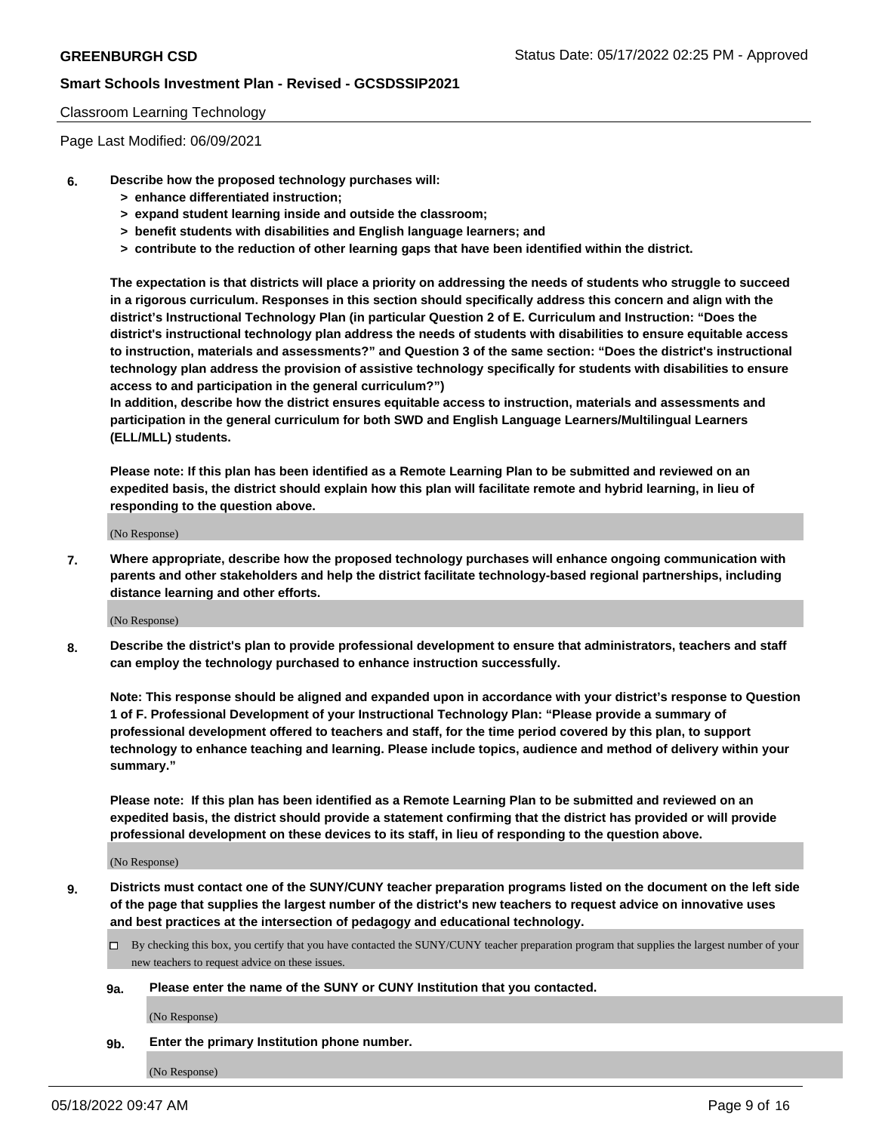### Classroom Learning Technology

Page Last Modified: 06/09/2021

- **6. Describe how the proposed technology purchases will:**
	- **> enhance differentiated instruction;**
	- **> expand student learning inside and outside the classroom;**
	- **> benefit students with disabilities and English language learners; and**
	- **> contribute to the reduction of other learning gaps that have been identified within the district.**

**The expectation is that districts will place a priority on addressing the needs of students who struggle to succeed in a rigorous curriculum. Responses in this section should specifically address this concern and align with the district's Instructional Technology Plan (in particular Question 2 of E. Curriculum and Instruction: "Does the district's instructional technology plan address the needs of students with disabilities to ensure equitable access to instruction, materials and assessments?" and Question 3 of the same section: "Does the district's instructional technology plan address the provision of assistive technology specifically for students with disabilities to ensure access to and participation in the general curriculum?")**

**In addition, describe how the district ensures equitable access to instruction, materials and assessments and participation in the general curriculum for both SWD and English Language Learners/Multilingual Learners (ELL/MLL) students.**

**Please note: If this plan has been identified as a Remote Learning Plan to be submitted and reviewed on an expedited basis, the district should explain how this plan will facilitate remote and hybrid learning, in lieu of responding to the question above.**

(No Response)

**7. Where appropriate, describe how the proposed technology purchases will enhance ongoing communication with parents and other stakeholders and help the district facilitate technology-based regional partnerships, including distance learning and other efforts.**

(No Response)

**8. Describe the district's plan to provide professional development to ensure that administrators, teachers and staff can employ the technology purchased to enhance instruction successfully.**

**Note: This response should be aligned and expanded upon in accordance with your district's response to Question 1 of F. Professional Development of your Instructional Technology Plan: "Please provide a summary of professional development offered to teachers and staff, for the time period covered by this plan, to support technology to enhance teaching and learning. Please include topics, audience and method of delivery within your summary."**

**Please note: If this plan has been identified as a Remote Learning Plan to be submitted and reviewed on an expedited basis, the district should provide a statement confirming that the district has provided or will provide professional development on these devices to its staff, in lieu of responding to the question above.**

(No Response)

**9. Districts must contact one of the SUNY/CUNY teacher preparation programs listed on the document on the left side of the page that supplies the largest number of the district's new teachers to request advice on innovative uses and best practices at the intersection of pedagogy and educational technology.**

- By checking this box, you certify that you have contacted the SUNY/CUNY teacher preparation program that supplies the largest number of your new teachers to request advice on these issues.
- **9a. Please enter the name of the SUNY or CUNY Institution that you contacted.**

(No Response)

**9b. Enter the primary Institution phone number.**

(No Response)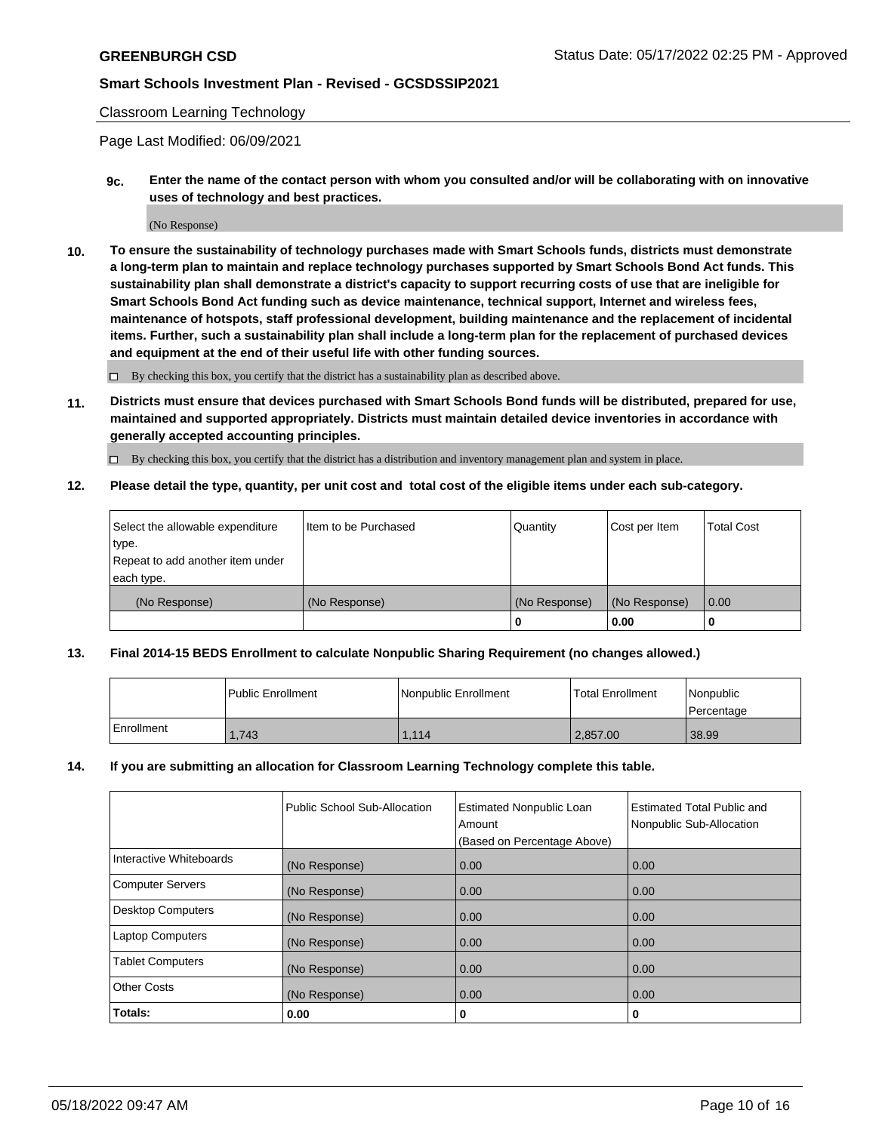### Classroom Learning Technology

Page Last Modified: 06/09/2021

**9c. Enter the name of the contact person with whom you consulted and/or will be collaborating with on innovative uses of technology and best practices.**

(No Response)

**10. To ensure the sustainability of technology purchases made with Smart Schools funds, districts must demonstrate a long-term plan to maintain and replace technology purchases supported by Smart Schools Bond Act funds. This sustainability plan shall demonstrate a district's capacity to support recurring costs of use that are ineligible for Smart Schools Bond Act funding such as device maintenance, technical support, Internet and wireless fees, maintenance of hotspots, staff professional development, building maintenance and the replacement of incidental items. Further, such a sustainability plan shall include a long-term plan for the replacement of purchased devices and equipment at the end of their useful life with other funding sources.**

 $\square$  By checking this box, you certify that the district has a sustainability plan as described above.

**11. Districts must ensure that devices purchased with Smart Schools Bond funds will be distributed, prepared for use, maintained and supported appropriately. Districts must maintain detailed device inventories in accordance with generally accepted accounting principles.**

By checking this box, you certify that the district has a distribution and inventory management plan and system in place.

**12. Please detail the type, quantity, per unit cost and total cost of the eligible items under each sub-category.**

| Select the allowable expenditure | I Item to be Purchased | Quantity      | Cost per Item | Total Cost |
|----------------------------------|------------------------|---------------|---------------|------------|
| type.                            |                        |               |               |            |
| Repeat to add another item under |                        |               |               |            |
| each type.                       |                        |               |               |            |
| (No Response)                    | (No Response)          | (No Response) | (No Response) | 0.00       |
|                                  |                        | u             | 0.00          |            |

### **13. Final 2014-15 BEDS Enrollment to calculate Nonpublic Sharing Requirement (no changes allowed.)**

|              | l Public Enrollment | Nonpublic Enrollment | <b>Total Enrollment</b> | l Nonpublic<br>l Percentage |
|--------------|---------------------|----------------------|-------------------------|-----------------------------|
| l Enrollment | .743                | 1.114                | 2.857.00                | 38.99                       |

### **14. If you are submitting an allocation for Classroom Learning Technology complete this table.**

|                          | Public School Sub-Allocation | <b>Estimated Nonpublic Loan</b><br>Amount | <b>Estimated Total Public and</b><br>Nonpublic Sub-Allocation |
|--------------------------|------------------------------|-------------------------------------------|---------------------------------------------------------------|
|                          |                              | (Based on Percentage Above)               |                                                               |
| Interactive Whiteboards  | (No Response)                | 0.00                                      | 0.00                                                          |
| <b>Computer Servers</b>  | (No Response)                | 0.00                                      | 0.00                                                          |
| <b>Desktop Computers</b> | (No Response)                | 0.00                                      | 0.00                                                          |
| <b>Laptop Computers</b>  | (No Response)                | 0.00                                      | 0.00                                                          |
| <b>Tablet Computers</b>  | (No Response)                | 0.00                                      | 0.00                                                          |
| <b>Other Costs</b>       | (No Response)                | 0.00                                      | 0.00                                                          |
| Totals:                  | 0.00                         | 0                                         | 0                                                             |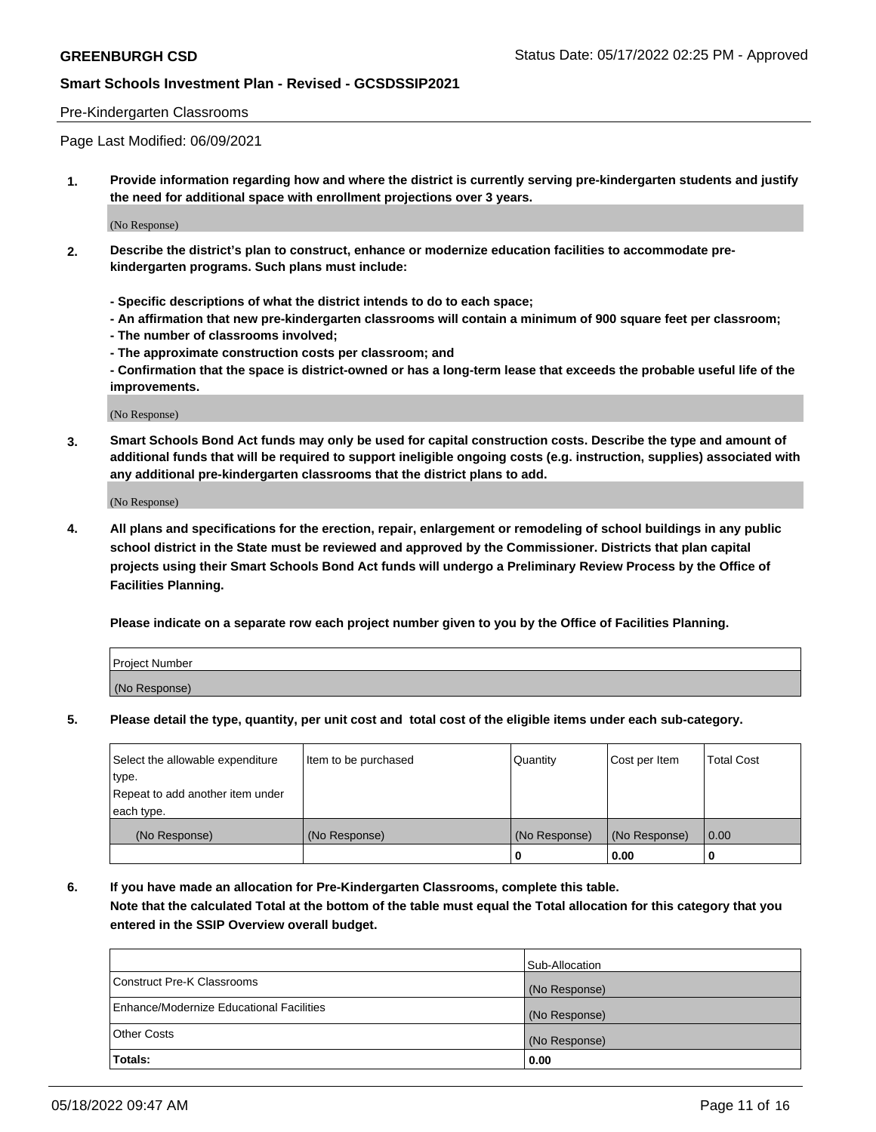### Pre-Kindergarten Classrooms

Page Last Modified: 06/09/2021

**1. Provide information regarding how and where the district is currently serving pre-kindergarten students and justify the need for additional space with enrollment projections over 3 years.**

(No Response)

- **2. Describe the district's plan to construct, enhance or modernize education facilities to accommodate prekindergarten programs. Such plans must include:**
	- **Specific descriptions of what the district intends to do to each space;**
	- **An affirmation that new pre-kindergarten classrooms will contain a minimum of 900 square feet per classroom;**
	- **The number of classrooms involved;**
	- **The approximate construction costs per classroom; and**
	- **Confirmation that the space is district-owned or has a long-term lease that exceeds the probable useful life of the improvements.**

(No Response)

**3. Smart Schools Bond Act funds may only be used for capital construction costs. Describe the type and amount of additional funds that will be required to support ineligible ongoing costs (e.g. instruction, supplies) associated with any additional pre-kindergarten classrooms that the district plans to add.**

(No Response)

**4. All plans and specifications for the erection, repair, enlargement or remodeling of school buildings in any public school district in the State must be reviewed and approved by the Commissioner. Districts that plan capital projects using their Smart Schools Bond Act funds will undergo a Preliminary Review Process by the Office of Facilities Planning.**

**Please indicate on a separate row each project number given to you by the Office of Facilities Planning.**

| Project Number |  |
|----------------|--|
| (No Response)  |  |

**5. Please detail the type, quantity, per unit cost and total cost of the eligible items under each sub-category.**

| Select the allowable expenditure          | Item to be purchased | Quantity      | Cost per Item | <b>Total Cost</b> |
|-------------------------------------------|----------------------|---------------|---------------|-------------------|
| type.<br>Repeat to add another item under |                      |               |               |                   |
| each type.                                |                      |               |               |                   |
| (No Response)                             | (No Response)        | (No Response) | (No Response) | 0.00              |
|                                           |                      | o             | 0.00          |                   |

**6. If you have made an allocation for Pre-Kindergarten Classrooms, complete this table.**

**Note that the calculated Total at the bottom of the table must equal the Total allocation for this category that you entered in the SSIP Overview overall budget.**

|                                          | Sub-Allocation |
|------------------------------------------|----------------|
| Construct Pre-K Classrooms               | (No Response)  |
| Enhance/Modernize Educational Facilities | (No Response)  |
| <b>Other Costs</b>                       | (No Response)  |
| Totals:                                  | 0.00           |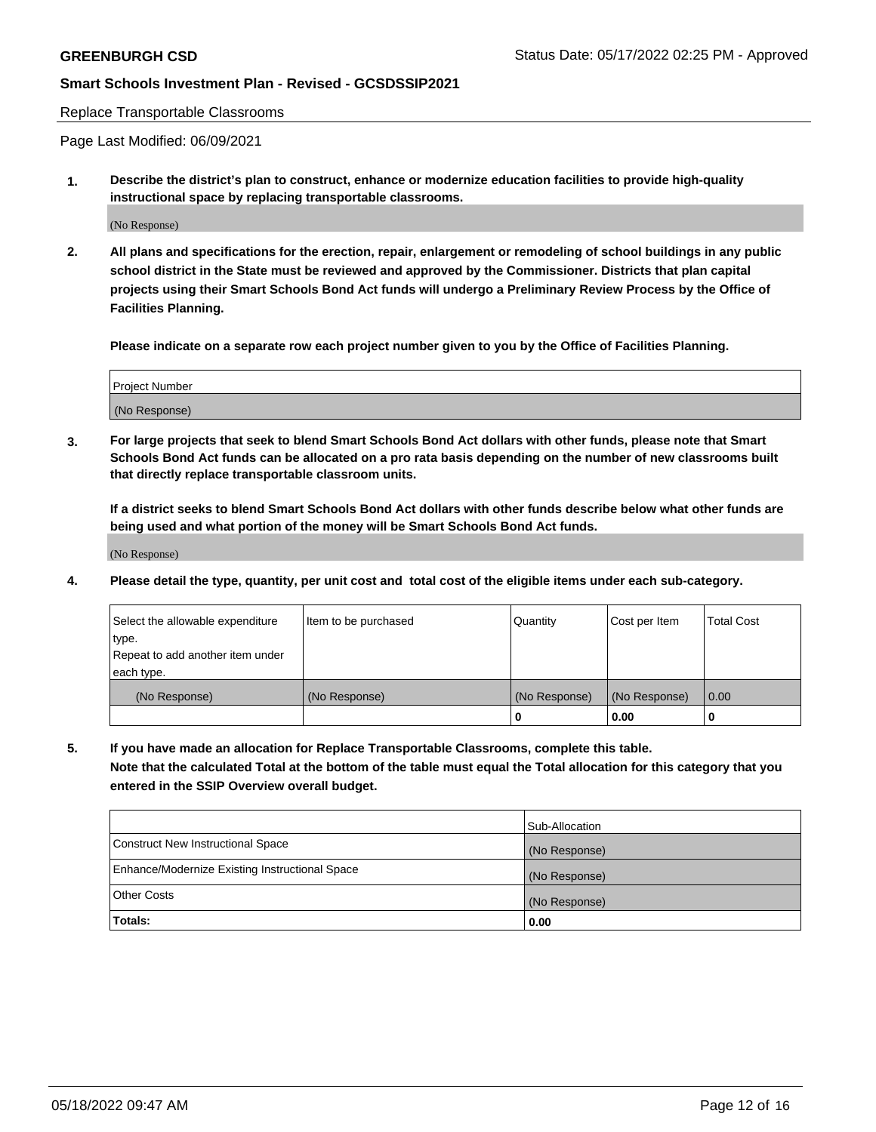#### Replace Transportable Classrooms

Page Last Modified: 06/09/2021

**1. Describe the district's plan to construct, enhance or modernize education facilities to provide high-quality instructional space by replacing transportable classrooms.**

(No Response)

**2. All plans and specifications for the erection, repair, enlargement or remodeling of school buildings in any public school district in the State must be reviewed and approved by the Commissioner. Districts that plan capital projects using their Smart Schools Bond Act funds will undergo a Preliminary Review Process by the Office of Facilities Planning.**

**Please indicate on a separate row each project number given to you by the Office of Facilities Planning.**

| <b>Project Number</b> |  |
|-----------------------|--|
| (No Response)         |  |

**3. For large projects that seek to blend Smart Schools Bond Act dollars with other funds, please note that Smart Schools Bond Act funds can be allocated on a pro rata basis depending on the number of new classrooms built that directly replace transportable classroom units.**

**If a district seeks to blend Smart Schools Bond Act dollars with other funds describe below what other funds are being used and what portion of the money will be Smart Schools Bond Act funds.**

(No Response)

**4. Please detail the type, quantity, per unit cost and total cost of the eligible items under each sub-category.**

| Select the allowable expenditure | Item to be purchased | Quantity      | Cost per Item | <b>Total Cost</b> |
|----------------------------------|----------------------|---------------|---------------|-------------------|
| type.                            |                      |               |               |                   |
| Repeat to add another item under |                      |               |               |                   |
| each type.                       |                      |               |               |                   |
| (No Response)                    | (No Response)        | (No Response) | (No Response) | 0.00              |
|                                  |                      | U             | 0.00          |                   |

**5. If you have made an allocation for Replace Transportable Classrooms, complete this table.**

**Note that the calculated Total at the bottom of the table must equal the Total allocation for this category that you entered in the SSIP Overview overall budget.**

| Enhance/Modernize Existing Instructional Space<br><b>Other Costs</b> | (No Response)         |
|----------------------------------------------------------------------|-----------------------|
| <b>Totals:</b>                                                       | (No Response)<br>0.00 |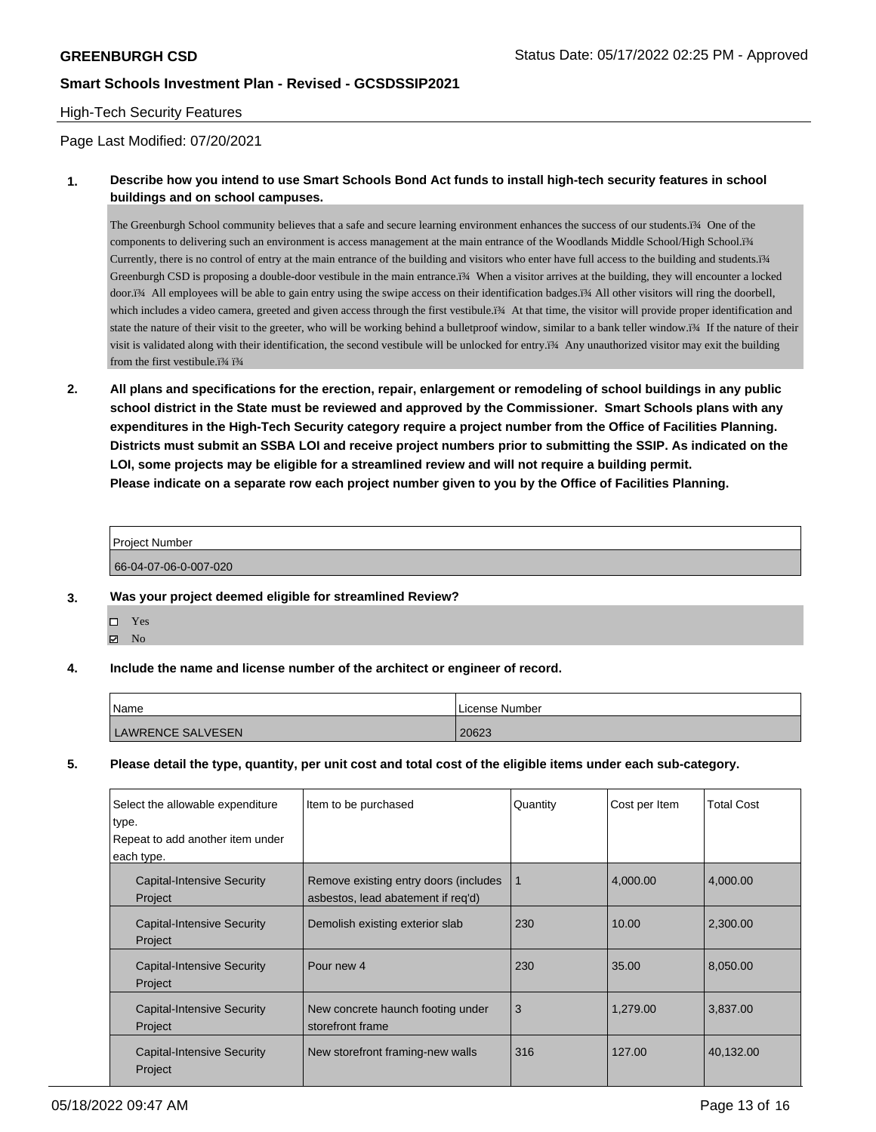### High-Tech Security Features

Page Last Modified: 07/20/2021

## **1. Describe how you intend to use Smart Schools Bond Act funds to install high-tech security features in school buildings and on school campuses.**

The Greenburgh School community believes that a safe and secure learning environment enhances the success of our students.ï¾ One of the components to delivering such an environment is access management at the main entrance of the Woodlands Middle School/High School.ï¾ Currently, there is no control of entry at the main entrance of the building and visitors who enter have full access to the building and students.ï¾ Greenburgh CSD is proposing a double-door vestibule in the main entrance.ï¾ When a visitor arrives at the building, they will encounter a locked door.ï¾ All employees will be able to gain entry using the swipe access on their identification badges.ï¾ All other visitors will ring the doorbell, which includes a video camera, greeted and given access through the first vestibule.ï¾ At that time, the visitor will provide proper identification and state the nature of their visit to the greeter, who will be working behind a bulletproof window, similar to a bank teller window.ï¾ If the nature of their visit is validated along with their identification, the second vestibule will be unlocked for entry.ï¾ Any unauthorized visitor may exit the building from the first vestibule.ï% ï%

**2. All plans and specifications for the erection, repair, enlargement or remodeling of school buildings in any public school district in the State must be reviewed and approved by the Commissioner. Smart Schools plans with any expenditures in the High-Tech Security category require a project number from the Office of Facilities Planning. Districts must submit an SSBA LOI and receive project numbers prior to submitting the SSIP. As indicated on the LOI, some projects may be eligible for a streamlined review and will not require a building permit. Please indicate on a separate row each project number given to you by the Office of Facilities Planning.**

| <b>Project Number</b> |  |
|-----------------------|--|
|                       |  |
| 66-04-07-06-0-007-020 |  |

- **3. Was your project deemed eligible for streamlined Review?**
	- Yes
	- $\boxtimes$  No
- **4. Include the name and license number of the architect or engineer of record.**

| Name                     | License Number |
|--------------------------|----------------|
| <b>LAWRENCE SALVESEN</b> | 20623          |

**5. Please detail the type, quantity, per unit cost and total cost of the eligible items under each sub-category.**

| Select the allowable expenditure<br>type.<br>Repeat to add another item under<br>each type. | Item to be purchased                                                        | Quantity | Cost per Item | <b>Total Cost</b> |
|---------------------------------------------------------------------------------------------|-----------------------------------------------------------------------------|----------|---------------|-------------------|
| Capital-Intensive Security<br>Project                                                       | Remove existing entry doors (includes<br>asbestos, lead abatement if reg'd) | 1        | 4,000.00      | 4,000.00          |
| Capital-Intensive Security<br>Project                                                       | Demolish existing exterior slab                                             | 230      | 10.00         | 2,300.00          |
| Capital-Intensive Security<br>Project                                                       | Pour new 4                                                                  | 230      | 35.00         | 8,050.00          |
| <b>Capital-Intensive Security</b><br>Project                                                | New concrete haunch footing under<br>storefront frame                       | 3        | 1.279.00      | 3,837.00          |
| Capital-Intensive Security<br>Project                                                       | New storefront framing-new walls                                            | 316      | 127.00        | 40,132.00         |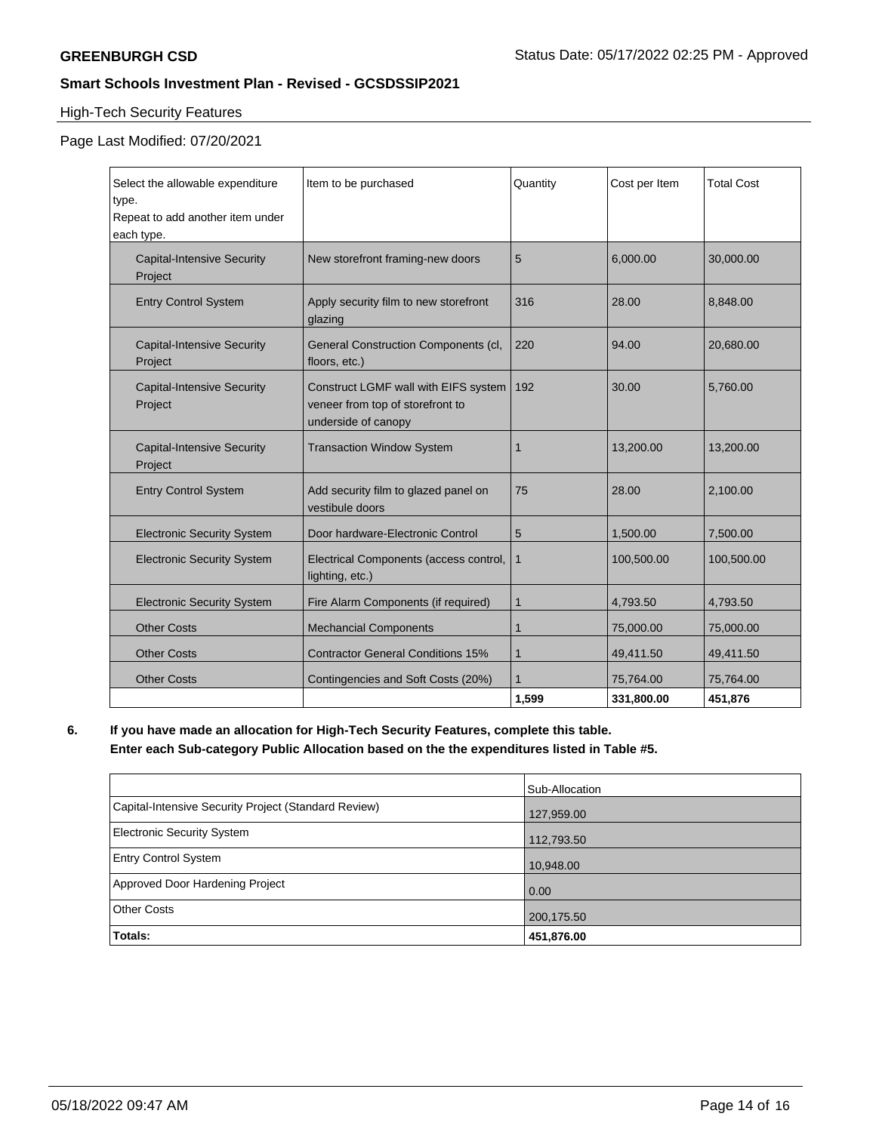# High-Tech Security Features

# Page Last Modified: 07/20/2021

| Select the allowable expenditure             | Item to be purchased                                                                            | Quantity       | Cost per Item | <b>Total Cost</b> |
|----------------------------------------------|-------------------------------------------------------------------------------------------------|----------------|---------------|-------------------|
| type.                                        |                                                                                                 |                |               |                   |
| Repeat to add another item under             |                                                                                                 |                |               |                   |
| each type.                                   |                                                                                                 |                |               |                   |
| <b>Capital-Intensive Security</b><br>Project | New storefront framing-new doors                                                                | 5              | 6,000.00      | 30,000.00         |
| <b>Entry Control System</b>                  | Apply security film to new storefront<br>glazing                                                | 316            | 28.00         | 8,848.00          |
| <b>Capital-Intensive Security</b><br>Project | General Construction Components (cl,<br>floors, etc.)                                           | 220            | 94.00         | 20,680.00         |
| <b>Capital-Intensive Security</b><br>Project | Construct LGMF wall with EIFS system<br>veneer from top of storefront to<br>underside of canopy | 192            | 30.00         | 5,760.00          |
| <b>Capital-Intensive Security</b><br>Project | <b>Transaction Window System</b>                                                                | 1              | 13,200.00     | 13,200.00         |
| <b>Entry Control System</b>                  | Add security film to glazed panel on<br>vestibule doors                                         | 75             | 28.00         | 2,100.00          |
| <b>Electronic Security System</b>            | Door hardware-Electronic Control                                                                | 5              | 1,500.00      | 7,500.00          |
| <b>Electronic Security System</b>            | Electrical Components (access control,<br>lighting, etc.)                                       | 1              | 100,500.00    | 100,500.00        |
| <b>Electronic Security System</b>            | Fire Alarm Components (if required)                                                             | $\mathbf{1}$   | 4,793.50      | 4,793.50          |
| <b>Other Costs</b>                           | <b>Mechancial Components</b>                                                                    | 1              | 75,000.00     | 75,000.00         |
| <b>Other Costs</b>                           | <b>Contractor General Conditions 15%</b>                                                        | 1              | 49,411.50     | 49,411.50         |
| <b>Other Costs</b>                           | Contingencies and Soft Costs (20%)                                                              | $\overline{1}$ | 75,764.00     | 75,764.00         |
|                                              |                                                                                                 | 1,599          | 331,800.00    | 451,876           |

# **6. If you have made an allocation for High-Tech Security Features, complete this table. Enter each Sub-category Public Allocation based on the the expenditures listed in Table #5.**

|                                                      | Sub-Allocation |
|------------------------------------------------------|----------------|
| Capital-Intensive Security Project (Standard Review) | 127,959.00     |
| Electronic Security System                           | 112,793.50     |
| <b>Entry Control System</b>                          | 10,948.00      |
| Approved Door Hardening Project                      | 0.00           |
| <b>Other Costs</b>                                   | 200,175.50     |
| Totals:                                              | 451,876.00     |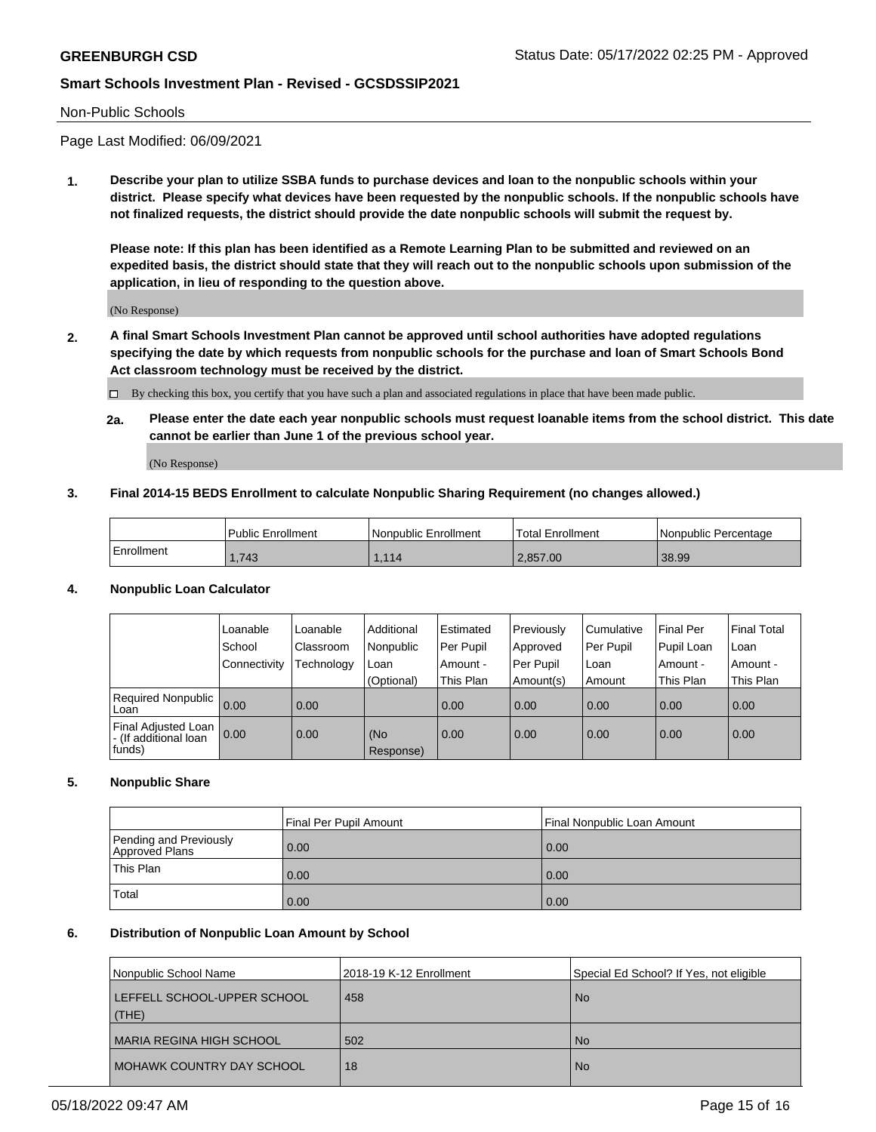#### Non-Public Schools

Page Last Modified: 06/09/2021

**1. Describe your plan to utilize SSBA funds to purchase devices and loan to the nonpublic schools within your district. Please specify what devices have been requested by the nonpublic schools. If the nonpublic schools have not finalized requests, the district should provide the date nonpublic schools will submit the request by.**

**Please note: If this plan has been identified as a Remote Learning Plan to be submitted and reviewed on an expedited basis, the district should state that they will reach out to the nonpublic schools upon submission of the application, in lieu of responding to the question above.**

(No Response)

- **2. A final Smart Schools Investment Plan cannot be approved until school authorities have adopted regulations specifying the date by which requests from nonpublic schools for the purchase and loan of Smart Schools Bond Act classroom technology must be received by the district.**
	- By checking this box, you certify that you have such a plan and associated regulations in place that have been made public.
	- **2a. Please enter the date each year nonpublic schools must request loanable items from the school district. This date cannot be earlier than June 1 of the previous school year.**

(No Response)

### **3. Final 2014-15 BEDS Enrollment to calculate Nonpublic Sharing Requirement (no changes allowed.)**

|            | <b>Public Enrollment</b> | l Nonpublic Enrollment | <b>Total Enrollment</b> | l Nonpublic Percentage |
|------------|--------------------------|------------------------|-------------------------|------------------------|
| Enrollment | 1,743                    | 1,114                  | 2,857.00                | 38.99                  |

### **4. Nonpublic Loan Calculator**

|                                                        | Loanable     | Loanable          | Additional       | Estimated   | Previously  | l Cumulative | Final Per  | <b>Final Total</b> |
|--------------------------------------------------------|--------------|-------------------|------------------|-------------|-------------|--------------|------------|--------------------|
|                                                        | School       | Classroom         | Nonpublic        | l Per Pupil | Approved    | Per Pupil    | Pupil Loan | Loan               |
|                                                        | Connectivity | Technology        | Loan             | Amount -    | l Per Pupil | Loan         | Amount -   | Amount -           |
|                                                        |              |                   | (Optional)       | This Plan   | Amount(s)   | Amount       | This Plan  | This Plan          |
| <b>Required Nonpublic</b><br>Loan                      | 0.00         | $\overline{0.00}$ |                  | 0.00        | 0.00        | 0.00         | 0.00       | 0.00               |
| Final Adjusted Loan<br>- (If additional loan<br>funds) | 0.00         | $\overline{0.00}$ | (No<br>Response) | 0.00        | 0.00        | 0.00         | 0.00       | 0.00               |

### **5. Nonpublic Share**

|                                          | Final Per Pupil Amount<br>Final Nonpublic Loan Amount |      |  |
|------------------------------------------|-------------------------------------------------------|------|--|
| Pending and Previously<br>Approved Plans | 0.00                                                  | 0.00 |  |
| This Plan                                | 0.00                                                  | 0.00 |  |
| Total                                    | 0.00                                                  | 0.00 |  |

#### **6. Distribution of Nonpublic Loan Amount by School**

| Nonpublic School Name                | 2018-19 K-12 Enrollment | Special Ed School? If Yes, not eligible |
|--------------------------------------|-------------------------|-----------------------------------------|
| LEFFELL SCHOOL-UPPER SCHOOL<br>(THE) | 458                     | <b>No</b>                               |
| I MARIA REGINA HIGH SCHOOL           | 502                     | <b>No</b>                               |
| I MOHAWK COUNTRY DAY SCHOOL          | 18                      | <b>No</b>                               |